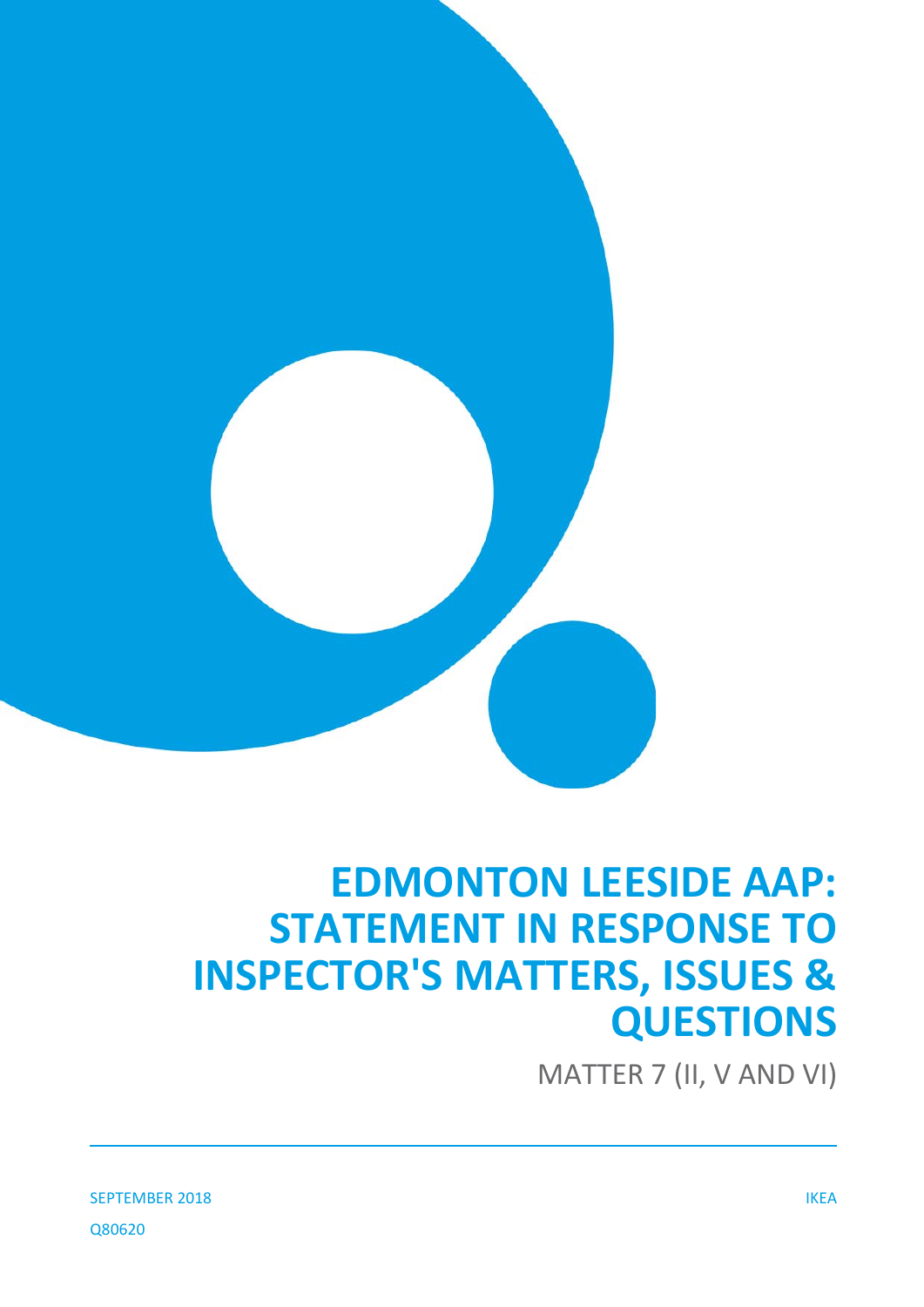

# **EDMONTON LEESIDE AAP: STATEMENT IN RESPONSE TO INSPECTOR'S MATTERS, ISSUES & QUESTIONS**

MATTER 7 (II, V AND VI)

SEPTEMBER 2018 IKEA Q80620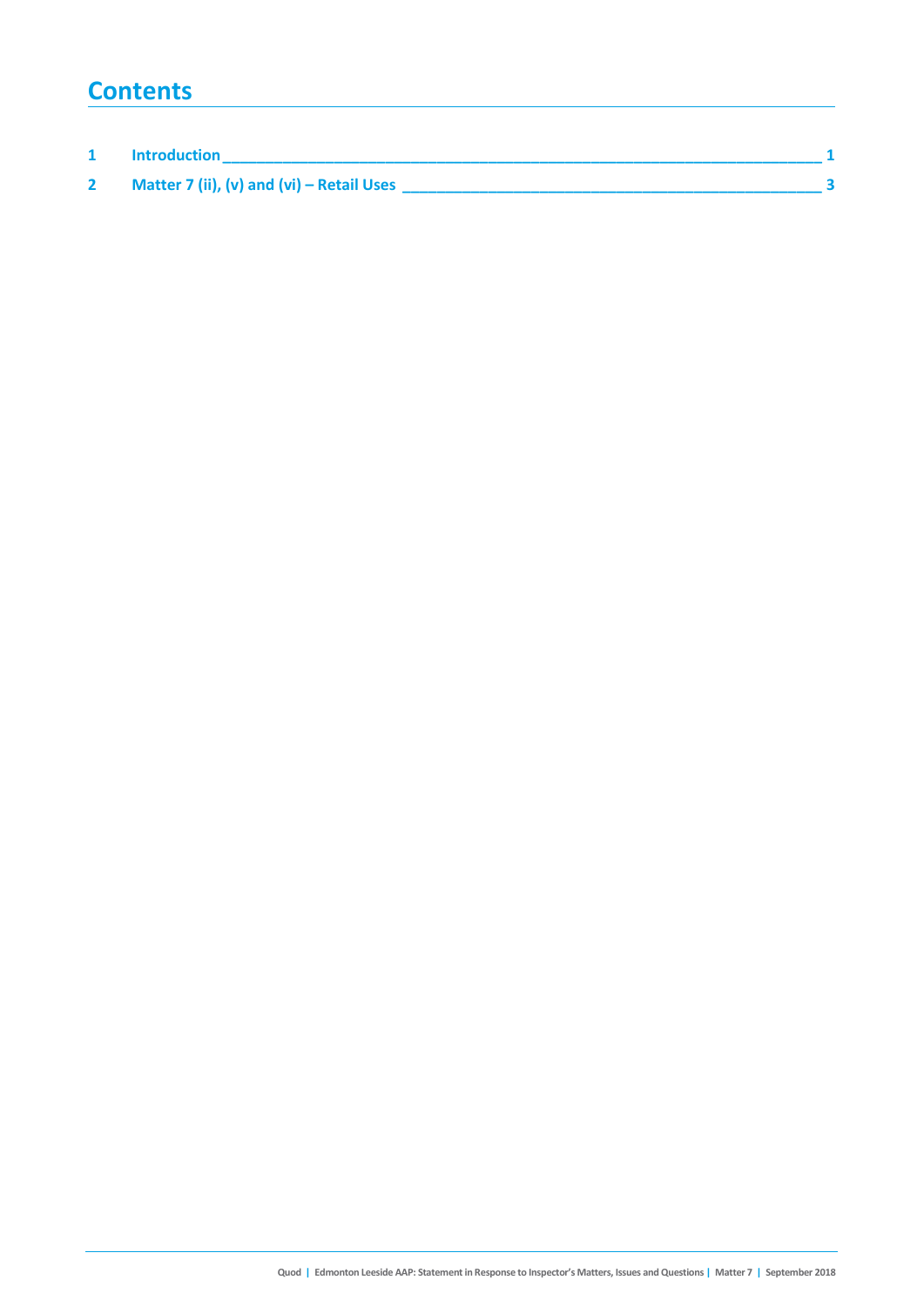### **Contents**

| Introduction                              |  |
|-------------------------------------------|--|
| Matter 7 (ii), (v) and (vi) – Retail Uses |  |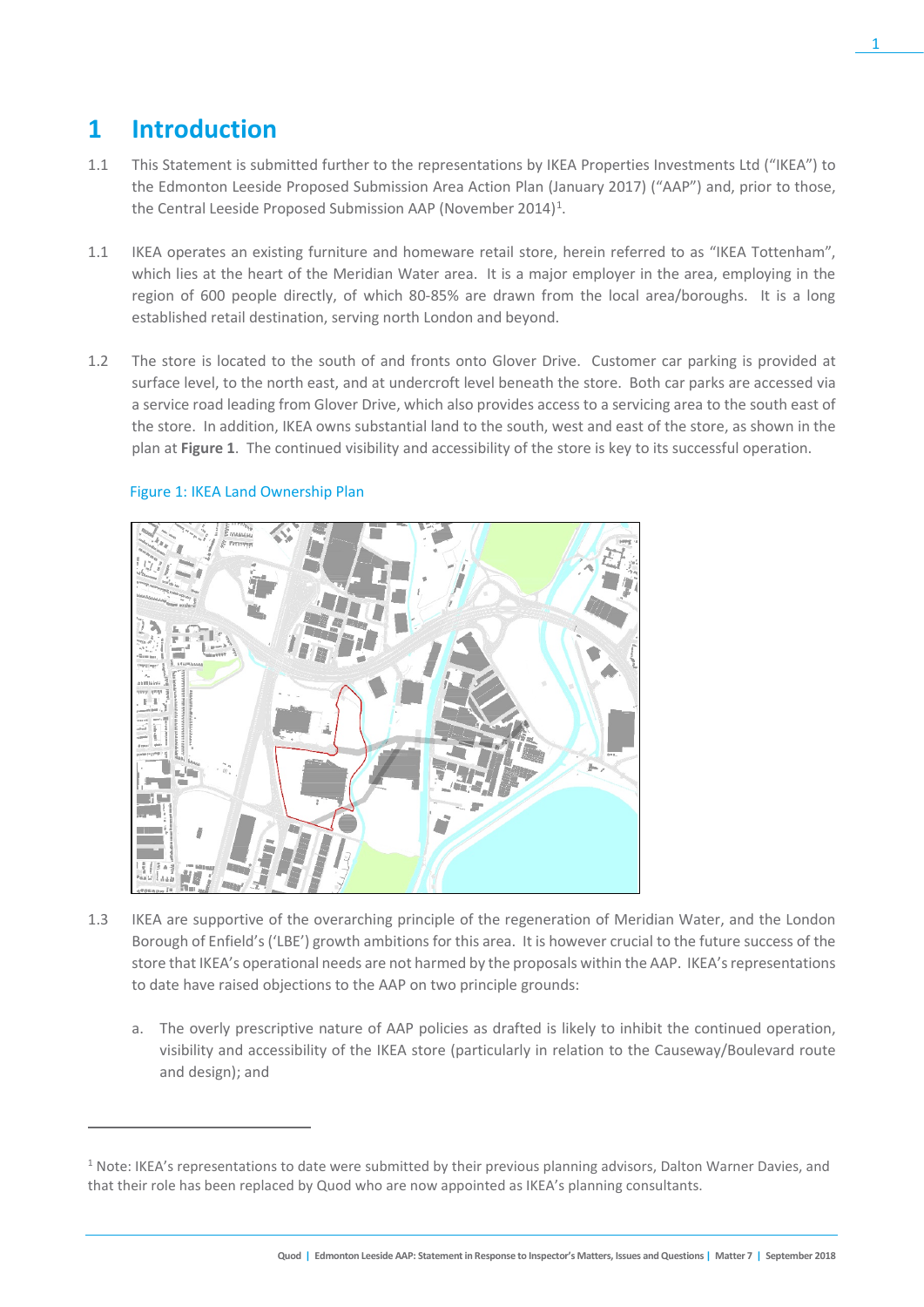## **1 Introduction**

- 1.1 This Statement is submitted further to the representations by IKEA Properties Investments Ltd ("IKEA") to the Edmonton Leeside Proposed Submission Area Action Plan (January 2017) ("AAP") and, prior to those, the Central Leeside Proposed Submission AAP (November 20[1](#page-2-0)4)<sup>1</sup>.
- 1.1 IKEA operates an existing furniture and homeware retail store, herein referred to as "IKEA Tottenham", which lies at the heart of the Meridian Water area. It is a major employer in the area, employing in the region of 600 people directly, of which 80-85% are drawn from the local area/boroughs. It is a long established retail destination, serving north London and beyond.
- 1.2 The store is located to the south of and fronts onto Glover Drive. Customer car parking is provided at surface level, to the north east, and at undercroft level beneath the store. Both car parks are accessed via a service road leading from Glover Drive, which also provides access to a servicing area to the south east of the store. In addition, IKEA owns substantial land to the south, west and east of the store, as shown in the plan at **Figure 1**. The continued visibility and accessibility of the store is key to its successful operation.



#### Figure 1: IKEA Land Ownership Plan

 $\overline{a}$ 

- 1.3 IKEA are supportive of the overarching principle of the regeneration of Meridian Water, and the London Borough of Enfield's ('LBE') growth ambitions for this area. It is however crucial to the future success of the store that IKEA's operational needs are not harmed by the proposals within the AAP. IKEA's representations to date have raised objections to the AAP on two principle grounds:
	- a. The overly prescriptive nature of AAP policies as drafted is likely to inhibit the continued operation, visibility and accessibility of the IKEA store (particularly in relation to the Causeway/Boulevard route and design); and

<span id="page-2-0"></span> $1$  Note: IKEA's representations to date were submitted by their previous planning advisors, Dalton Warner Davies, and that their role has been replaced by Quod who are now appointed as IKEA's planning consultants.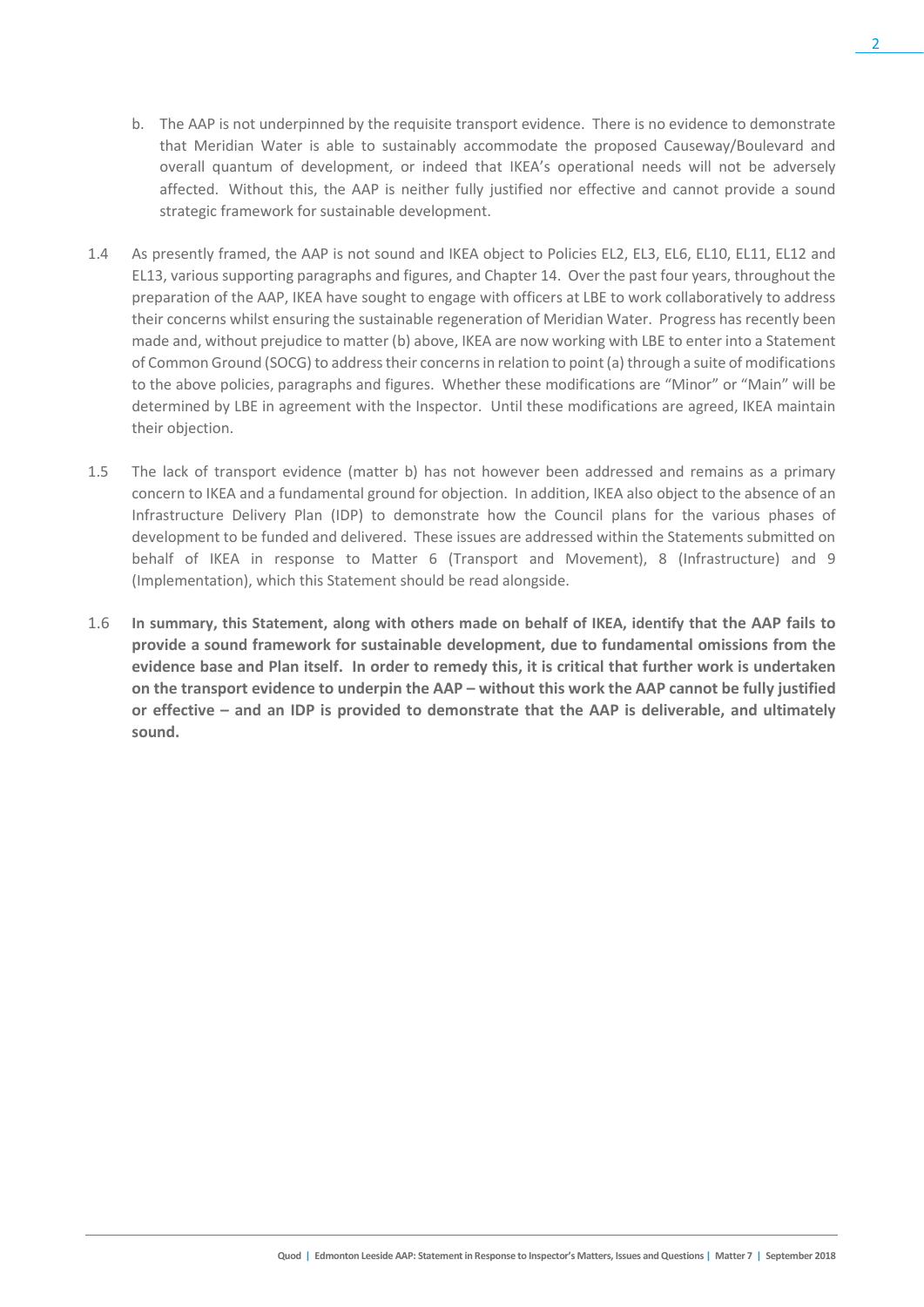- b. The AAP is not underpinned by the requisite transport evidence. There is no evidence to demonstrate that Meridian Water is able to sustainably accommodate the proposed Causeway/Boulevard and overall quantum of development, or indeed that IKEA's operational needs will not be adversely affected. Without this, the AAP is neither fully justified nor effective and cannot provide a sound strategic framework for sustainable development.
- 1.4 As presently framed, the AAP is not sound and IKEA object to Policies EL2, EL3, EL6, EL10, EL11, EL12 and EL13, various supporting paragraphs and figures, and Chapter 14. Over the past four years, throughout the preparation of the AAP, IKEA have sought to engage with officers at LBE to work collaboratively to address their concerns whilst ensuring the sustainable regeneration of Meridian Water. Progress has recently been made and, without prejudice to matter (b) above, IKEA are now working with LBE to enter into a Statement of Common Ground (SOCG) to address their concerns in relation to point (a) through a suite of modifications to the above policies, paragraphs and figures. Whether these modifications are "Minor" or "Main" will be determined by LBE in agreement with the Inspector. Until these modifications are agreed, IKEA maintain their objection.
- 1.5 The lack of transport evidence (matter b) has not however been addressed and remains as a primary concern to IKEA and a fundamental ground for objection. In addition, IKEA also object to the absence of an Infrastructure Delivery Plan (IDP) to demonstrate how the Council plans for the various phases of development to be funded and delivered. These issues are addressed within the Statements submitted on behalf of IKEA in response to Matter 6 (Transport and Movement), 8 (Infrastructure) and 9 (Implementation), which this Statement should be read alongside.
- 1.6 **In summary, this Statement, along with others made on behalf of IKEA, identify that the AAP fails to provide a sound framework for sustainable development, due to fundamental omissions from the evidence base and Plan itself. In order to remedy this, it is critical that further work is undertaken on the transport evidence to underpin the AAP – without this work the AAP cannot be fully justified or effective – and an IDP is provided to demonstrate that the AAP is deliverable, and ultimately sound.**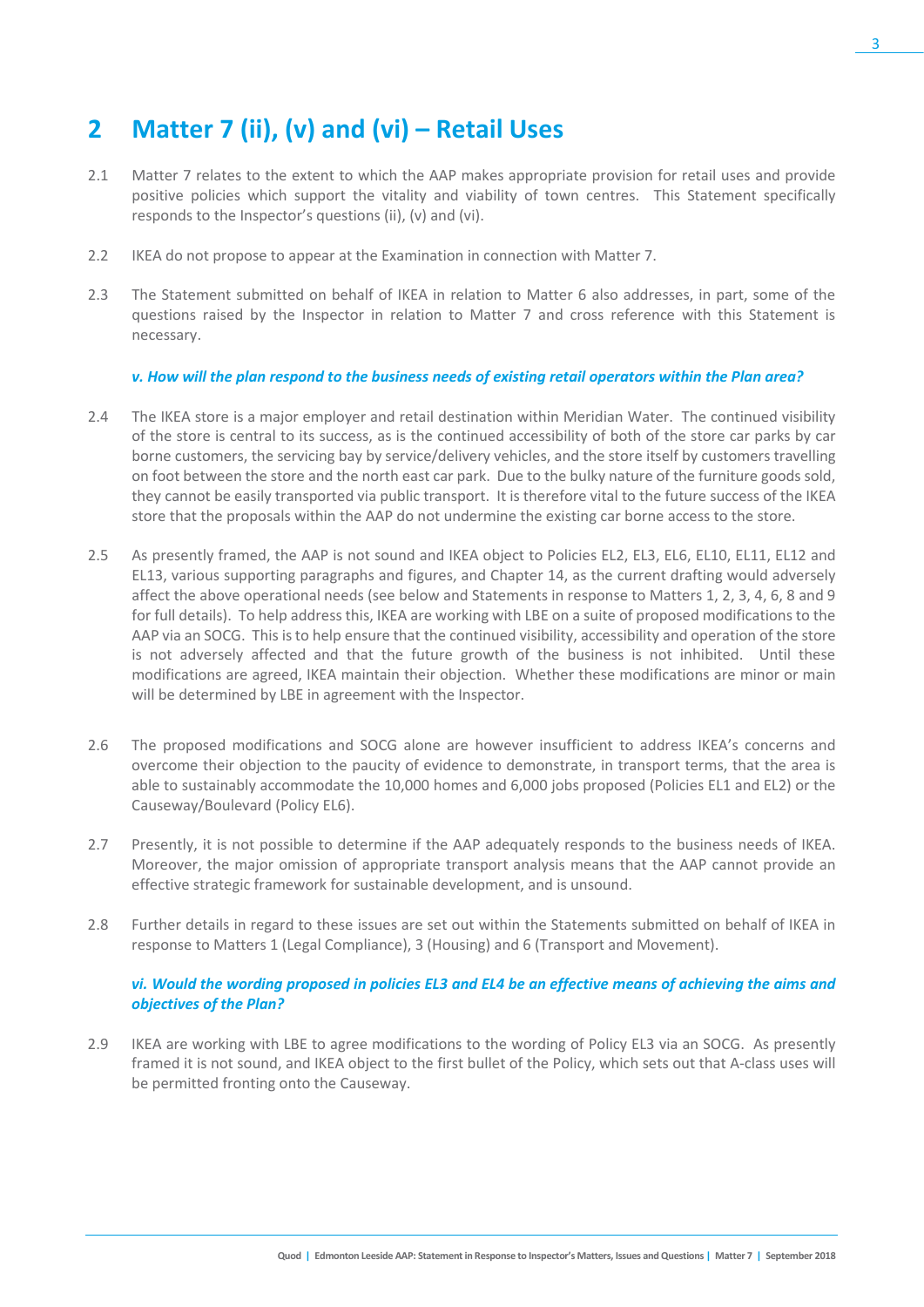## **2 Matter 7 (ii), (v) and (vi) – Retail Uses**

- 2.1 Matter 7 relates to the extent to which the AAP makes appropriate provision for retail uses and provide positive policies which support the vitality and viability of town centres. This Statement specifically responds to the Inspector's questions (ii), (v) and (vi).
- 2.2 IKEA do not propose to appear at the Examination in connection with Matter 7.
- 2.3 The Statement submitted on behalf of IKEA in relation to Matter 6 also addresses, in part, some of the questions raised by the Inspector in relation to Matter 7 and cross reference with this Statement is necessary.

#### *v. How will the plan respond to the business needs of existing retail operators within the Plan area?*

- 2.4 The IKEA store is a major employer and retail destination within Meridian Water. The continued visibility of the store is central to its success, as is the continued accessibility of both of the store car parks by car borne customers, the servicing bay by service/delivery vehicles, and the store itself by customers travelling on foot between the store and the north east car park. Due to the bulky nature of the furniture goods sold, they cannot be easily transported via public transport. It is therefore vital to the future success of the IKEA store that the proposals within the AAP do not undermine the existing car borne access to the store.
- 2.5 As presently framed, the AAP is not sound and IKEA object to Policies EL2, EL3, EL6, EL10, EL11, EL12 and EL13, various supporting paragraphs and figures, and Chapter 14, as the current drafting would adversely affect the above operational needs (see below and Statements in response to Matters 1, 2, 3, 4, 6, 8 and 9 for full details). To help address this, IKEA are working with LBE on a suite of proposed modifications to the AAP via an SOCG. This is to help ensure that the continued visibility, accessibility and operation of the store is not adversely affected and that the future growth of the business is not inhibited. Until these modifications are agreed, IKEA maintain their objection. Whether these modifications are minor or main will be determined by LBE in agreement with the Inspector.
- 2.6 The proposed modifications and SOCG alone are however insufficient to address IKEA's concerns and overcome their objection to the paucity of evidence to demonstrate, in transport terms, that the area is able to sustainably accommodate the 10,000 homes and 6,000 jobs proposed (Policies EL1 and EL2) or the Causeway/Boulevard (Policy EL6).
- 2.7 Presently, it is not possible to determine if the AAP adequately responds to the business needs of IKEA. Moreover, the major omission of appropriate transport analysis means that the AAP cannot provide an effective strategic framework for sustainable development, and is unsound.
- 2.8 Further details in regard to these issues are set out within the Statements submitted on behalf of IKEA in response to Matters 1 (Legal Compliance), 3 (Housing) and 6 (Transport and Movement).

#### *vi. Would the wording proposed in policies EL3 and EL4 be an effective means of achieving the aims and objectives of the Plan?*

2.9 IKEA are working with LBE to agree modifications to the wording of Policy EL3 via an SOCG. As presently framed it is not sound, and IKEA object to the first bullet of the Policy, which sets out that A-class uses will be permitted fronting onto the Causeway.